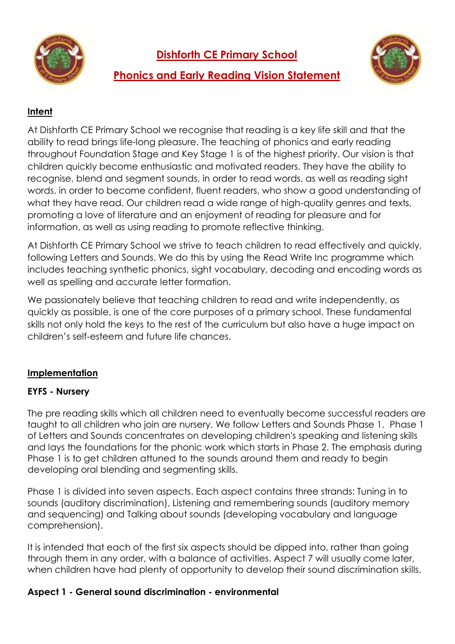

**Dishforth CE Primary School**



# **Phonics and Early Reading Vision Statement**

## **Intent**

At Dishforth CE Primary School we recognise that reading is a key life skill and that the ability to read brings life-long pleasure. The teaching of phonics and early reading throughout Foundation Stage and Key Stage 1 is of the highest priority. Our vision is that children quickly become enthusiastic and motivated readers. They have the ability to recognise, blend and segment sounds, in order to read words, as well as reading sight words, in order to become confident, fluent readers, who show a good understanding of what they have read. Our children read a wide range of high-quality genres and texts, promoting a love of literature and an enjoyment of reading for pleasure and for information, as well as using reading to promote reflective thinking.

At Dishforth CE Primary School we strive to teach children to read effectively and quickly, following Letters and Sounds. We do this by using the Read Write Inc programme which includes teaching synthetic phonics, sight vocabulary, decoding and encoding words as well as spelling and accurate letter formation.

We passionately believe that teaching children to read and write independently, as quickly as possible, is one of the core purposes of a primary school. These fundamental skills not only hold the keys to the rest of the curriculum but also have a huge impact on children's self-esteem and future life chances.

## **Implementation**

## **EYFS - Nursery**

The pre reading skills which all children need to eventually become successful readers are taught to all children who join are nursery. We follow Letters and Sounds Phase 1. Phase 1 of Letters and Sounds concentrates on developing children's speaking and listening skills and lays the foundations for the phonic work which starts in Phase 2. The emphasis during Phase 1 is to get children attuned to the sounds around them and ready to begin developing oral blending and segmenting skills.

Phase 1 is divided into seven aspects. Each aspect contains three strands: Tuning in to sounds (auditory discrimination), Listening and remembering sounds (auditory memory and sequencing) and Talking about sounds (developing vocabulary and language comprehension).

It is intended that each of the first six aspects should be dipped into, rather than going through them in any order, with a balance of activities. Aspect 7 will usually come later, when children have had plenty of opportunity to develop their sound discrimination skills.

## **Aspect 1 - General sound discrimination - environmental**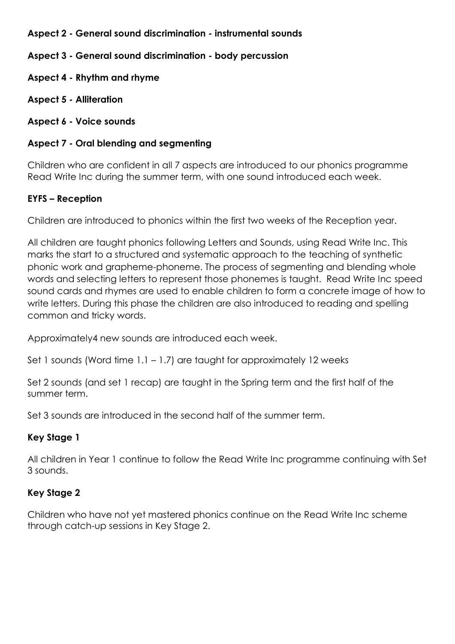## **Aspect 2 - General sound discrimination - instrumental sounds**

**Aspect 3 - General sound discrimination - body percussion**

- **Aspect 4 - Rhythm and rhyme**
- **Aspect 5 - Alliteration**

#### **Aspect 6 - Voice sounds**

#### **Aspect 7 - Oral blending and segmenting**

Children who are confident in all 7 aspects are introduced to our phonics programme Read Write Inc during the summer term, with one sound introduced each week.

## **EYFS – Reception**

Children are introduced to phonics within the first two weeks of the Reception year.

All children are taught phonics following Letters and Sounds, using Read Write Inc. This marks the start to a structured and systematic approach to the teaching of synthetic phonic work and grapheme-phoneme. The process of segmenting and blending whole words and selecting letters to represent those phonemes is taught. Read Write Inc speed sound cards and rhymes are used to enable children to form a concrete image of how to write letters. During this phase the children are also introduced to reading and spelling common and tricky words.

Approximately4 new sounds are introduced each week.

Set 1 sounds (Word time  $1.1 - 1.7$ ) are taught for approximately 12 weeks

Set 2 sounds (and set 1 recap) are taught in the Spring term and the first half of the summer term.

Set 3 sounds are introduced in the second half of the summer term.

## **Key Stage 1**

All children in Year 1 continue to follow the Read Write Inc programme continuing with Set 3 sounds.

## **Key Stage 2**

Children who have not yet mastered phonics continue on the Read Write Inc scheme through catch-up sessions in Key Stage 2.